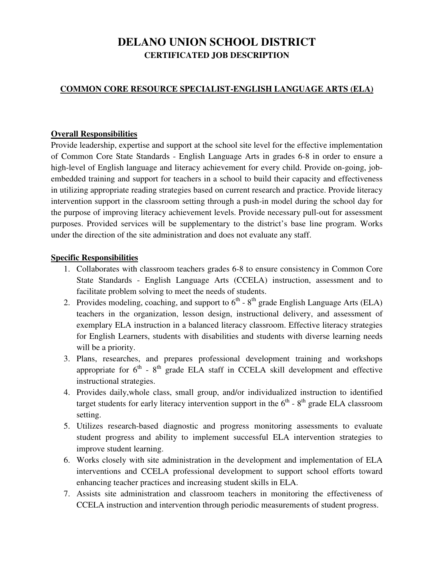# **DELANO UNION SCHOOL DISTRICT CERTIFICATED JOB DESCRIPTION**

# **COMMON CORE RESOURCE SPECIALIST-ENGLISH LANGUAGE ARTS (ELA)**

#### **Overall Responsibilities**

Provide leadership, expertise and support at the school site level for the effective implementation of Common Core State Standards - English Language Arts in grades 6-8 in order to ensure a high-level of English language and literacy achievement for every child. Provide on-going, jobembedded training and support for teachers in a school to build their capacity and effectiveness in utilizing appropriate reading strategies based on current research and practice. Provide literacy intervention support in the classroom setting through a push-in model during the school day for the purpose of improving literacy achievement levels. Provide necessary pull-out for assessment purposes. Provided services will be supplementary to the district's base line program. Works under the direction of the site administration and does not evaluate any staff.

#### **Specific Responsibilities**

- 1. Collaborates with classroom teachers grades 6-8 to ensure consistency in Common Core State Standards - English Language Arts (CCELA) instruction, assessment and to facilitate problem solving to meet the needs of students.
- 2. Provides modeling, coaching, and support to  $6<sup>th</sup>$   $8<sup>th</sup>$  grade English Language Arts (ELA) teachers in the organization, lesson design, instructional delivery, and assessment of exemplary ELA instruction in a balanced literacy classroom. Effective literacy strategies for English Learners, students with disabilities and students with diverse learning needs will be a priority.
- 3. Plans, researches, and prepares professional development training and workshops appropriate for  $6<sup>th</sup>$  -  $8<sup>th</sup>$  grade ELA staff in CCELA skill development and effective instructional strategies.
- 4. Provides daily,whole class, small group, and/or individualized instruction to identified target students for early literacy intervention support in the  $6<sup>th</sup>$  -  $8<sup>th</sup>$  grade ELA classroom setting.
- 5. Utilizes research-based diagnostic and progress monitoring assessments to evaluate student progress and ability to implement successful ELA intervention strategies to improve student learning.
- 6. Works closely with site administration in the development and implementation of ELA interventions and CCELA professional development to support school efforts toward enhancing teacher practices and increasing student skills in ELA.
- 7. Assists site administration and classroom teachers in monitoring the effectiveness of CCELA instruction and intervention through periodic measurements of student progress.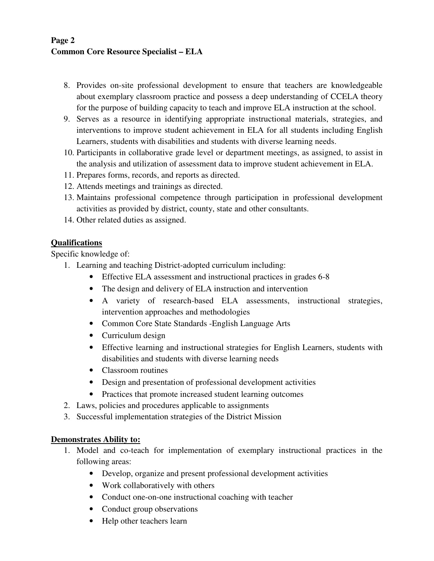# **Page 2 Common Core Resource Specialist – ELA**

- 8. Provides on-site professional development to ensure that teachers are knowledgeable about exemplary classroom practice and possess a deep understanding of CCELA theory for the purpose of building capacity to teach and improve ELA instruction at the school.
- 9. Serves as a resource in identifying appropriate instructional materials, strategies, and interventions to improve student achievement in ELA for all students including English Learners, students with disabilities and students with diverse learning needs.
- 10. Participants in collaborative grade level or department meetings, as assigned, to assist in the analysis and utilization of assessment data to improve student achievement in ELA.
- 11. Prepares forms, records, and reports as directed.
- 12. Attends meetings and trainings as directed.
- 13. Maintains professional competence through participation in professional development activities as provided by district, county, state and other consultants.
- 14. Other related duties as assigned.

# **Qualifications**

Specific knowledge of:

- 1. Learning and teaching District-adopted curriculum including:
	- Effective ELA assessment and instructional practices in grades 6-8
	- The design and delivery of ELA instruction and intervention
	- A variety of research-based ELA assessments, instructional strategies, intervention approaches and methodologies
	- Common Core State Standards English Language Arts
	- Curriculum design
	- Effective learning and instructional strategies for English Learners, students with disabilities and students with diverse learning needs
	- Classroom routines
	- Design and presentation of professional development activities
	- Practices that promote increased student learning outcomes
- 2. Laws, policies and procedures applicable to assignments
- 3. Successful implementation strategies of the District Mission

## **Demonstrates Ability to:**

- 1. Model and co-teach for implementation of exemplary instructional practices in the following areas:
	- Develop, organize and present professional development activities
	- Work collaboratively with others
	- Conduct one-on-one instructional coaching with teacher
	- Conduct group observations
	- Help other teachers learn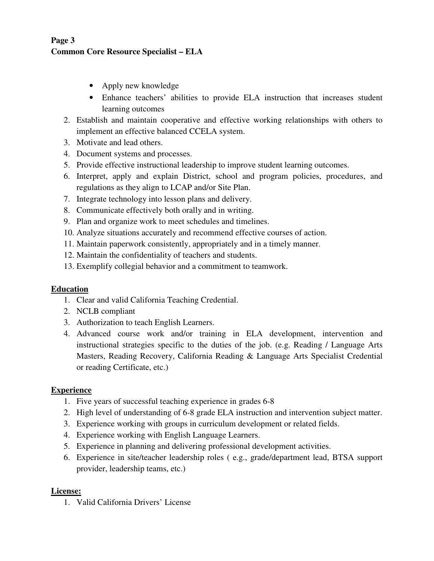# **Page 3 Common Core Resource Specialist – ELA**

- Apply new knowledge
- Enhance teachers' abilities to provide ELA instruction that increases student learning outcomes
- 2. Establish and maintain cooperative and effective working relationships with others to implement an effective balanced CCELA system.
- 3. Motivate and lead others.
- 4. Document systems and processes.
- 5. Provide effective instructional leadership to improve student learning outcomes.
- 6. Interpret, apply and explain District, school and program policies, procedures, and regulations as they align to LCAP and/or Site Plan.
- 7. Integrate technology into lesson plans and delivery.
- 8. Communicate effectively both orally and in writing.
- 9. Plan and organize work to meet schedules and timelines.
- 10. Analyze situations accurately and recommend effective courses of action.
- 11. Maintain paperwork consistently, appropriately and in a timely manner.
- 12. Maintain the confidentiality of teachers and students.
- 13. Exemplify collegial behavior and a commitment to teamwork.

## **Education**

- 1. Clear and valid California Teaching Credential.
- 2. NCLB compliant
- 3. Authorization to teach English Learners.
- 4. Advanced course work and/or training in ELA development, intervention and instructional strategies specific to the duties of the job. (e.g. Reading / Language Arts Masters, Reading Recovery, California Reading & Language Arts Specialist Credential or reading Certificate, etc.)

## **Experience**

- 1. Five years of successful teaching experience in grades 6-8
- 2. High level of understanding of 6-8 grade ELA instruction and intervention subject matter.
- 3. Experience working with groups in curriculum development or related fields.
- 4. Experience working with English Language Learners.
- 5. Experience in planning and delivering professional development activities.
- 6. Experience in site/teacher leadership roles ( e.g., grade/department lead, BTSA support provider, leadership teams, etc.)

## **License:**

1. Valid California Drivers' License